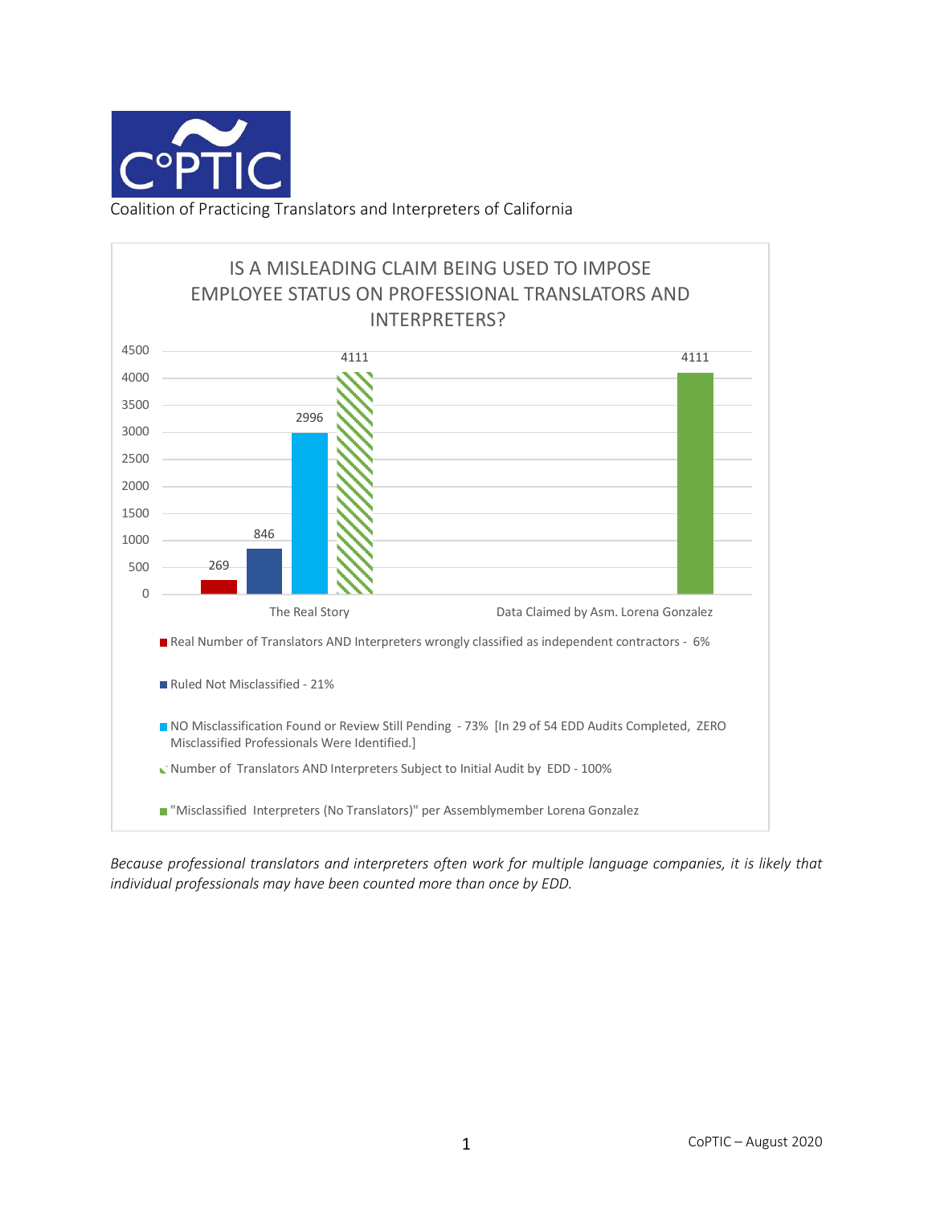

Coalition of Practicing Translators and Interpreters of California



*Because professional translators and interpreters often work for multiple language companies, it is likely that individual professionals may have been counted more than once by EDD.*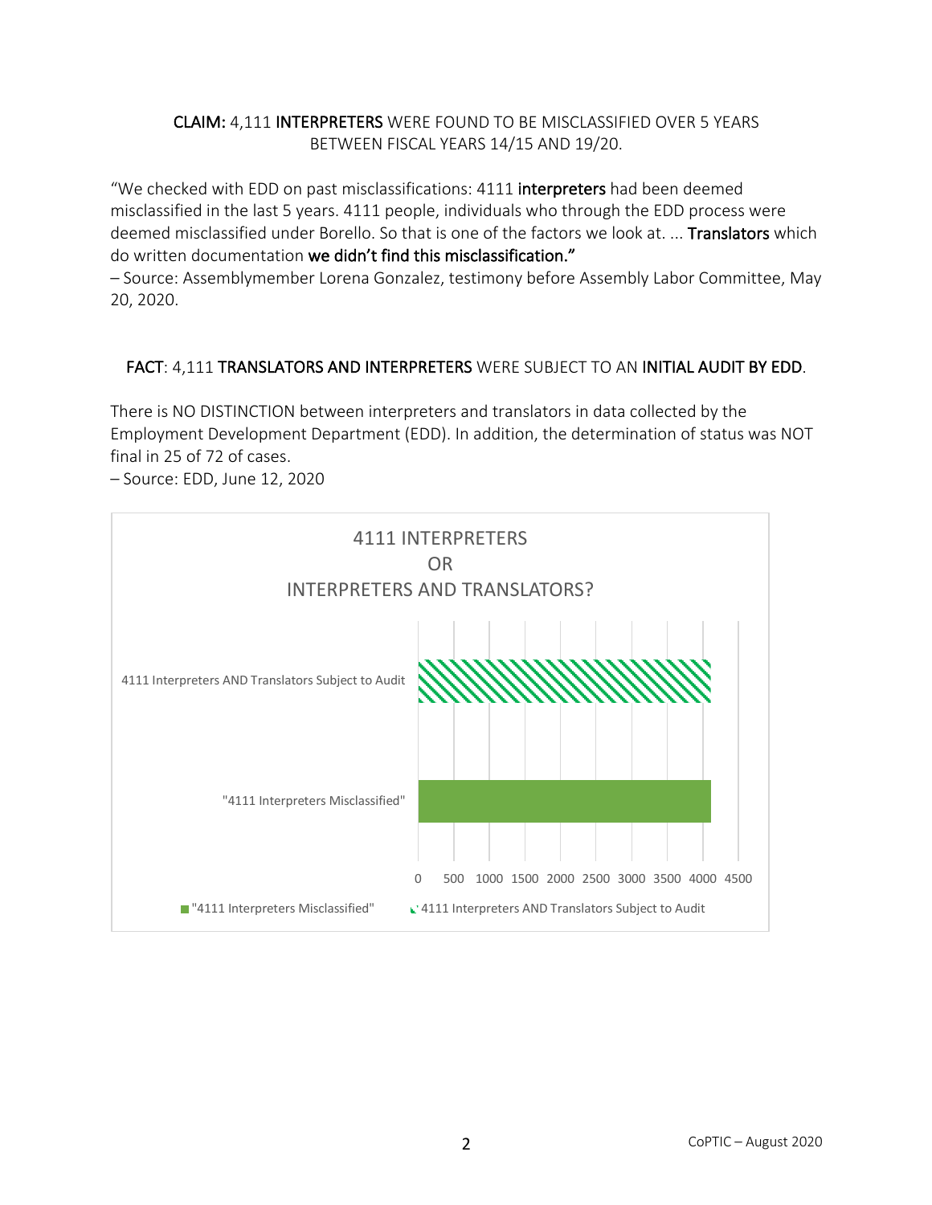### CLAIM: 4,111 INTERPRETERS WERE FOUND TO BE MISCLASSIFIED OVER 5 YEARS BETWEEN FISCAL YEARS 14/15 AND 19/20.

"We checked with EDD on past misclassifications: 4111 interpreters had been deemed misclassified in the last 5 years. 4111 people, individuals who through the EDD process were deemed misclassified under Borello. So that is one of the factors we look at. ... Translators which do written documentation we didn't find this misclassification."

– Source: Assemblymember Lorena Gonzalez, testimony before Assembly Labor Committee, May 20, 2020.

## FACT: 4,111 TRANSLATORS AND INTERPRETERS WERE SUBJECT TO AN INITIAL AUDIT BY EDD.

There is NO DISTINCTION between interpreters and translators in data collected by the Employment Development Department (EDD). In addition, the determination of status was NOT final in 25 of 72 of cases.

– Source: EDD, June 12, 2020

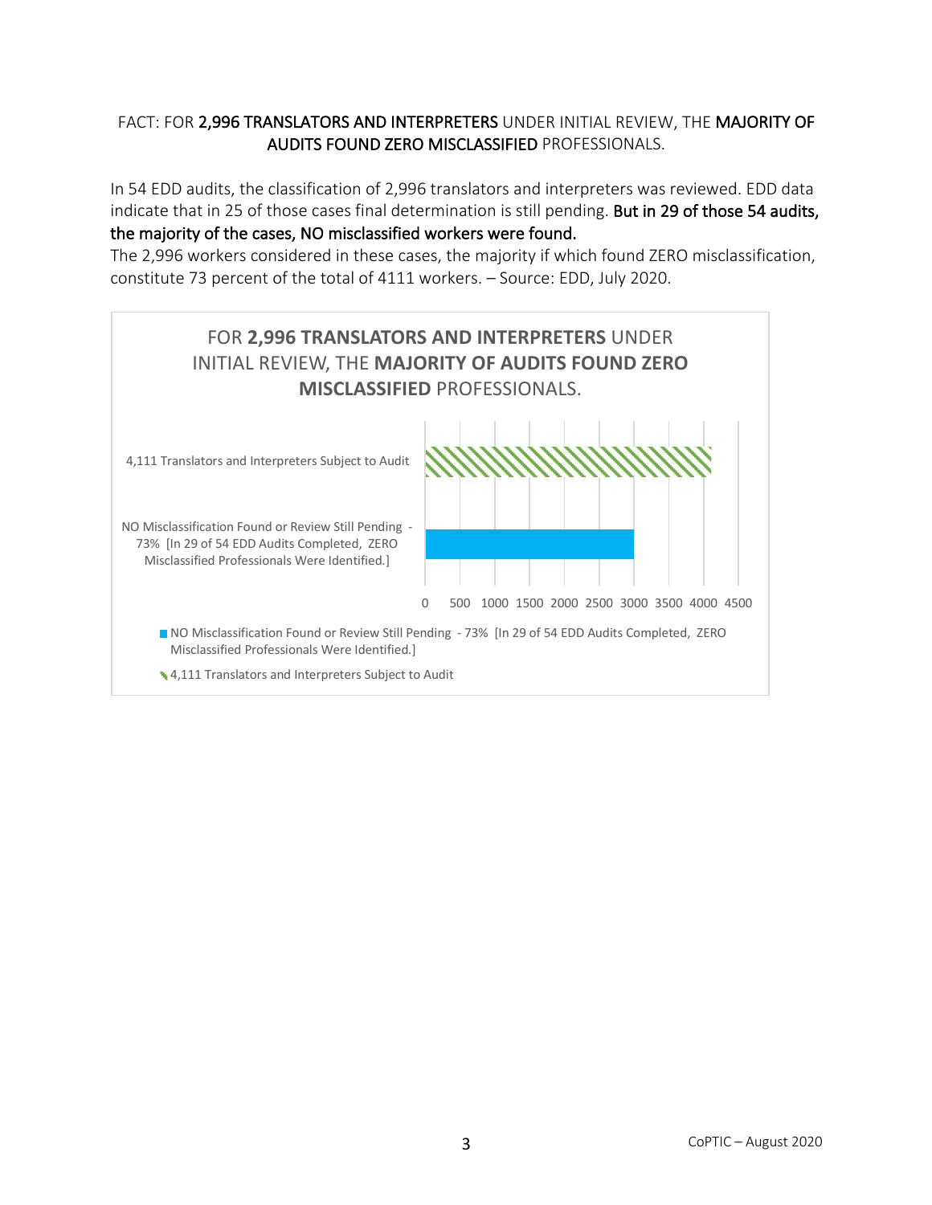## FACT: FOR 2,996 TRANSLATORS AND INTERPRETERS UNDER INITIAL REVIEW, THE MAJORITY OF AUDITS FOUND ZERO MISCLASSIFIED PROFESSIONALS.

In 54 EDD audits, the classification of 2,996 translators and interpreters was reviewed. EDD data indicate that in 25 of those cases final determination is still pending. But in 29 of those 54 audits, the majority of the cases, NO misclassified workers were found.

The 2,996 workers considered in these cases, the majority if which found ZERO misclassification, constitute 73 percent of the total of 4111 workers. – Source: EDD, July 2020.

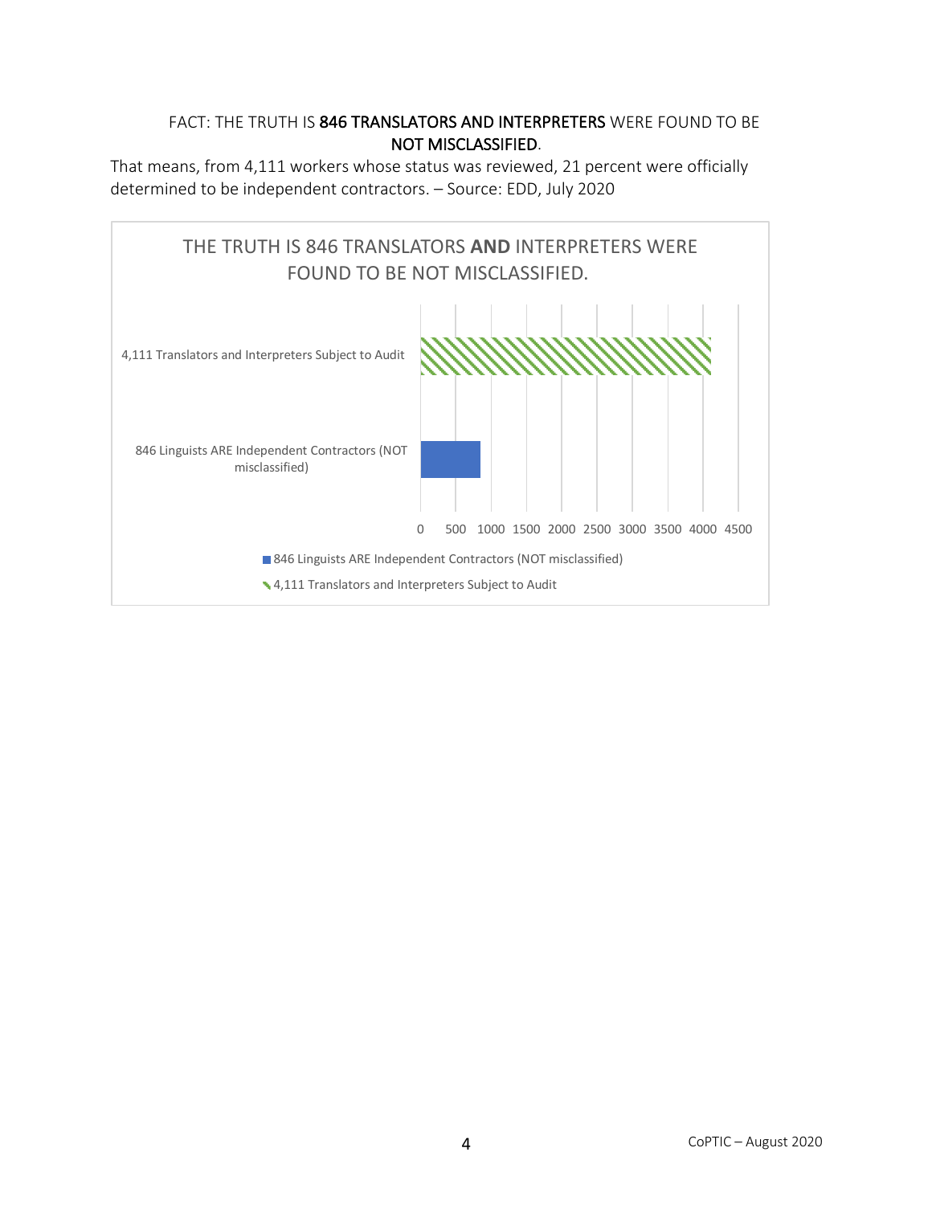## FACT: THE TRUTH IS 846 TRANSLATORS AND INTERPRETERS WERE FOUND TO BE NOT MISCLASSIFIED.

That means, from 4,111 workers whose status was reviewed, 21 percent were officially determined to be independent contractors. – Source: EDD, July 2020

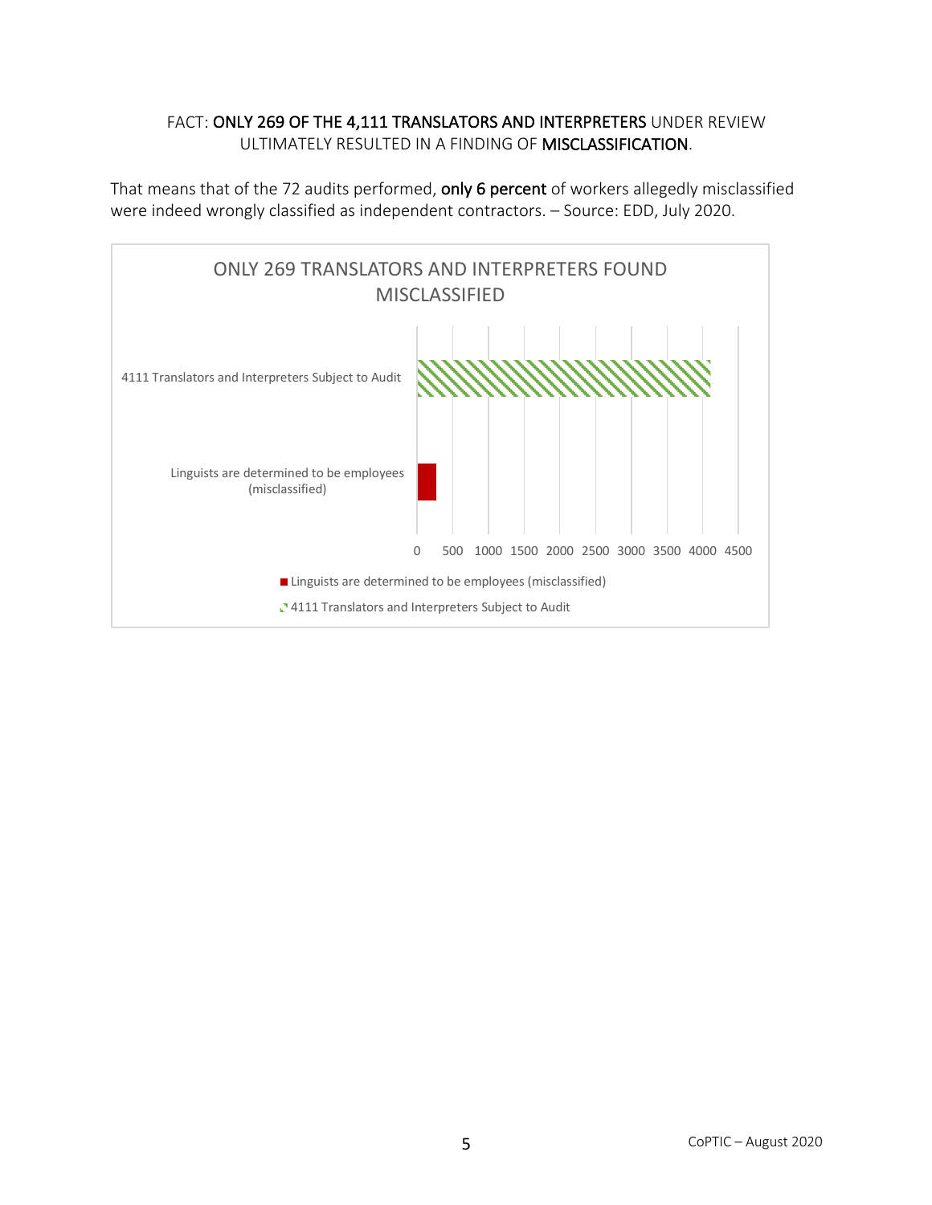#### FACT: ONLY 269 OF THE 4,111 TRANSLATORS AND INTERPRETERS UNDER REVIEW ULTIMATELY RESULTED IN A FINDING OF MISCLASSIFICATION.

That means that of the 72 audits performed, only 6 percent of workers allegedly misclassified were indeed wrongly classified as independent contractors. – Source: EDD, July 2020.